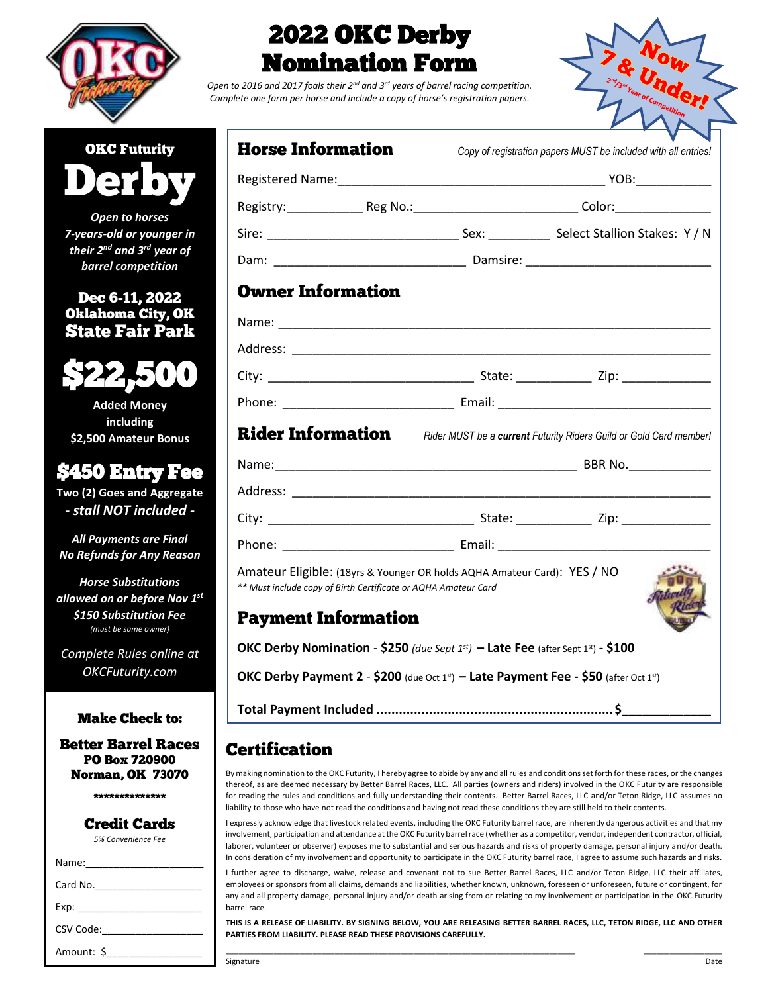



Open to 2016 and 2017 foals their 2<sup>nd</sup> and 3<sup>rd</sup> years of barrel racing competition. *Complete one form per horse and include a copy of horse's registration papers.*



| <b>OKC Futurity</b> |  |
|---------------------|--|
|                     |  |
|                     |  |

*Open to horses 7-years-old or younger in their 2nd and 3rd year of barrel competition*

Dec 6-11, 2022 Oklahoma City, OK State Fair Park



**Added Money including \$2,500 Amateur Bonus**

## \$450 Entry Fee

**Two (2) Goes and Aggregate**  *- stall NOT included -*

*All Payments are Final No Refunds for Any Reason*

*Horse Substitutions allowed on or before Nov 1 st \$150 Substitution Fee (must be same owner)*

*Complete Rules online at OKCFuturity.com*

### Make Check to:

Better Barrel Races PO Box 720900 Norman, OK 73070

\*\*\*\*\*\*\*\*\*\*\*\*\*\*

### Credit Cards

*5% Convenience Fee*

| Exp: the contract of the contract of the contract of the contract of the contract of the contract of the contract of the contract of the contract of the contract of the contract of the contract of the contract of the contr |
|--------------------------------------------------------------------------------------------------------------------------------------------------------------------------------------------------------------------------------|
| CSV Code: _______________                                                                                                                                                                                                      |
| Amount: \$                                                                                                                                                                                                                     |

| <b>Horse Information</b>                                                                                                                                                 |  |  | Copy of registration papers MUST be included with all entries!                       |  |  |
|--------------------------------------------------------------------------------------------------------------------------------------------------------------------------|--|--|--------------------------------------------------------------------------------------|--|--|
|                                                                                                                                                                          |  |  |                                                                                      |  |  |
|                                                                                                                                                                          |  |  |                                                                                      |  |  |
|                                                                                                                                                                          |  |  |                                                                                      |  |  |
|                                                                                                                                                                          |  |  |                                                                                      |  |  |
| <b>Owner Information</b>                                                                                                                                                 |  |  |                                                                                      |  |  |
|                                                                                                                                                                          |  |  |                                                                                      |  |  |
|                                                                                                                                                                          |  |  |                                                                                      |  |  |
|                                                                                                                                                                          |  |  |                                                                                      |  |  |
|                                                                                                                                                                          |  |  |                                                                                      |  |  |
|                                                                                                                                                                          |  |  | Rider Information Rider MUST be a current Futurity Riders Guild or Gold Card member! |  |  |
|                                                                                                                                                                          |  |  |                                                                                      |  |  |
|                                                                                                                                                                          |  |  |                                                                                      |  |  |
|                                                                                                                                                                          |  |  |                                                                                      |  |  |
|                                                                                                                                                                          |  |  |                                                                                      |  |  |
| Amateur Eligible: (18yrs & Younger OR holds AQHA Amateur Card): YES / NO<br>** Must include copy of Birth Certificate or AQHA Amateur Card<br><b>Payment Information</b> |  |  |                                                                                      |  |  |
| OKC Derby Nomination - \$250 (due Sept $1^{st}$ ) – Late Fee (after Sept $1^{st}$ ) - \$100                                                                              |  |  |                                                                                      |  |  |
| OKC Derby Payment 2 - \$200 (due Oct 1st) - Late Payment Fee - \$50 (after Oct 1st)                                                                                      |  |  |                                                                                      |  |  |

**Total Payment Included ...............................................................\$\_\_\_\_\_\_\_\_\_\_\_\_\_**

## Certification

By making nomination to the OKC Futurity, I hereby agree to abide by any and all rules and conditions set forth for these races, or the changes thereof, as are deemed necessary by Better Barrel Races, LLC. All parties (owners and riders) involved in the OKC Futurity are responsible for reading the rules and conditions and fully understanding their contents. Better Barrel Races, LLC and/or Teton Ridge, LLC assumes no liability to those who have not read the conditions and having not read these conditions they are still held to their contents.

I expressly acknowledge that livestock related events, including the OKC Futurity barrel race, are inherently dangerous activities and that my involvement, participation and attendance at the OKC Futurity barrel race (whether as a competitor, vendor, independent contractor, official, laborer, volunteer or observer) exposes me to substantial and serious hazards and risks of property damage, personal injury and/or death. In consideration of my involvement and opportunity to participate in the OKC Futurity barrel race, I agree to assume such hazards and risks.

I further agree to discharge, waive, release and covenant not to sue Better Barrel Races, LLC and/or Teton Ridge, LLC their affiliates, employees or sponsors from all claims, demands and liabilities, whether known, unknown, foreseen or unforeseen, future or contingent, for any and all property damage, personal injury and/or death arising from or relating to my involvement or participation in the OKC Futurity barrel race.

**THIS IS A RELEASE OF LIABILITY. BY SIGNING BELOW, YOU ARE RELEASING BETTER BARREL RACES, LLC, TETON RIDGE, LLC AND OTHER PARTIES FROM LIABILITY. PLEASE READ THESE PROVISIONS CAREFULLY.** \_\_\_\_\_\_\_\_\_\_\_\_\_\_\_\_\_\_\_\_\_\_\_\_\_\_\_\_\_\_\_\_\_\_\_\_\_\_\_\_\_\_\_\_\_\_\_\_\_\_\_\_\_\_\_\_\_\_\_\_\_\_\_\_\_\_\_\_\_\_\_\_\_\_\_\_\_\_\_\_ \_\_\_\_\_\_\_\_\_\_\_\_\_\_\_\_\_\_